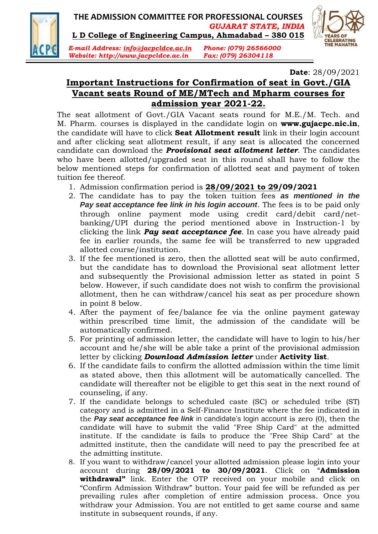

## **THE ADMISSION COMMITTEE FOR PROFESSIONAL COURSES** *GUJARAT STATE, INDIA*

**L D College of Engineering Campus, Ahmadabad – 380 015**





**Date**: 28/09/2021

## **Important Instructions for Confirmation of seat in Govt./GIA Vacant seats Round of ME/MTech and Mpharm courses for admission year 2021-22.**

The seat allotment of Govt./GIA Vacant seats round for M.E./M. Tech. and M. Pharm. courses is displayed in the candidate login on **www.gujacpc.nic.in**, the candidate will have to click **Seat Allotment result** link in their login account and after clicking seat allotment result, if any seat is allocated the concerned candidate can download the *Provisional seat allotment letter*. The candidates who have been allotted/upgraded seat in this round shall have to follow the below mentioned steps for confirmation of allotted seat and payment of token tuition fee thereof.

- 1. Admission confirmation period is **28/09/2021 to 29/09/2021**
- 2. The candidate has to pay the token tuition fees *as mentioned in the Pay seat acceptance fee link in his login account*. The fees is to be paid only through online payment mode using credit card/debit card/netbanking/UPI during the period mentioned above in Instruction-1 by clicking the link *Pay seat acceptance fee*. In case you have already paid fee in earlier rounds, the same fee will be transferred to new upgraded allotted course/institution.
- 3. If the fee mentioned is zero, then the allotted seat will be auto confirmed, but the candidate has to download the Provisional seat allotment letter and subsequently the Provisional admission letter as stated in point 5 below. However, if such candidate does not wish to confirm the provisional allotment, then he can withdraw/cancel his seat as per procedure shown in point 8 below.
- 4. After the payment of fee/balance fee via the online payment gateway within prescribed time limit, the admission of the candidate will be automatically confirmed.
- 5. For printing of admission letter, the candidate will have to login to his/her account and he/she will be able take a print of the provisional admission letter by clicking *Download Admission letter* under **Activity list**.
- 6. If the candidate fails to confirm the allotted admission within the time limit as stated above, then this allotment will be automatically cancelled. The candidate will thereafter not be eligible to get this seat in the next round of counseling, if any.
- 7. If the candidate belongs to scheduled caste (SC) or scheduled tribe (ST) category and is admitted in a Self-Finance Institute where the fee indicated in the *Pay seat acceptance fee link* in candidate's login account is zero (0), then the candidate will have to submit the valid "Free Ship Card" at the admitted institute. If the candidate is fails to produce the "Free Ship Card" at the admitted institute, then the candidate will need to pay the prescribed fee at the admitting institute.
- 8. If you want to withdraw/cancel your allotted admission please login into your account during **28/09/2021 to 30/09/2021**. Click on "**Admission withdrawal"** link. Enter the OTP received on your mobile and click on "Confirm Admission Withdraw" button. Your paid fee will be refunded as per prevailing rules after completion of entire admission process. Once you withdraw your Admission. You are not entitled to get same course and same institute in subsequent rounds, if any.